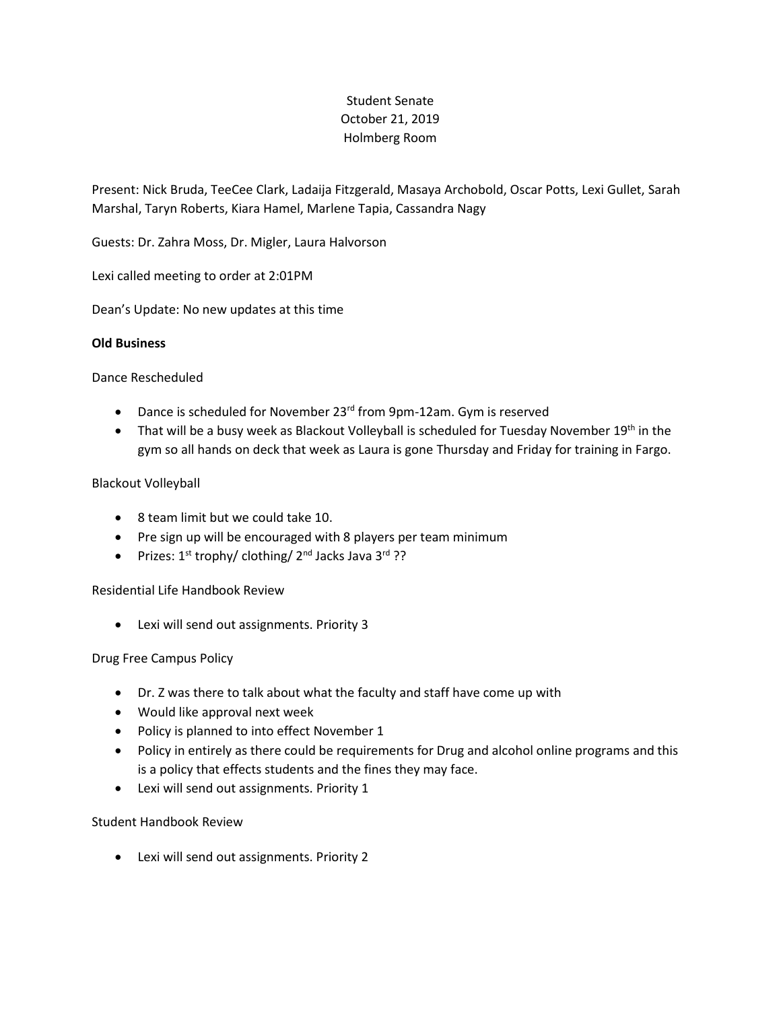# Student Senate October 21, 2019 Holmberg Room

Present: Nick Bruda, TeeCee Clark, Ladaija Fitzgerald, Masaya Archobold, Oscar Potts, Lexi Gullet, Sarah Marshal, Taryn Roberts, Kiara Hamel, Marlene Tapia, Cassandra Nagy

Guests: Dr. Zahra Moss, Dr. Migler, Laura Halvorson

Lexi called meeting to order at 2:01PM

Dean's Update: No new updates at this time

#### **Old Business**

#### Dance Rescheduled

- Dance is scheduled for November 23<sup>rd</sup> from 9pm-12am. Gym is reserved
- gym so all hands on deck that week as Laura is gone Thursday and Friday for training in Fargo. • That will be a busy week as Blackout Volleyball is scheduled for Tuesday November  $19^{th}$  in the

#### Blackout Volleyball

- 8 team limit but we could take 10.
- Pre sign up will be encouraged with 8 players per team minimum
- Prizes:  $1^{st}$  trophy/ clothing/  $2^{nd}$  Jacks Java  $3^{rd}$  ??

## Residential Life Handbook Review

Lexi will send out assignments. Priority 3

## Drug Free Campus Policy

- Dr. Z was there to talk about what the faculty and staff have come up with
- Would like approval next week
- Policy is planned to into effect November 1
- Policy in entirely as there could be requirements for Drug and alcohol online programs and this is a policy that effects students and the fines they may face.
- Lexi will send out assignments. Priority 1

## Student Handbook Review

Lexi will send out assignments. Priority 2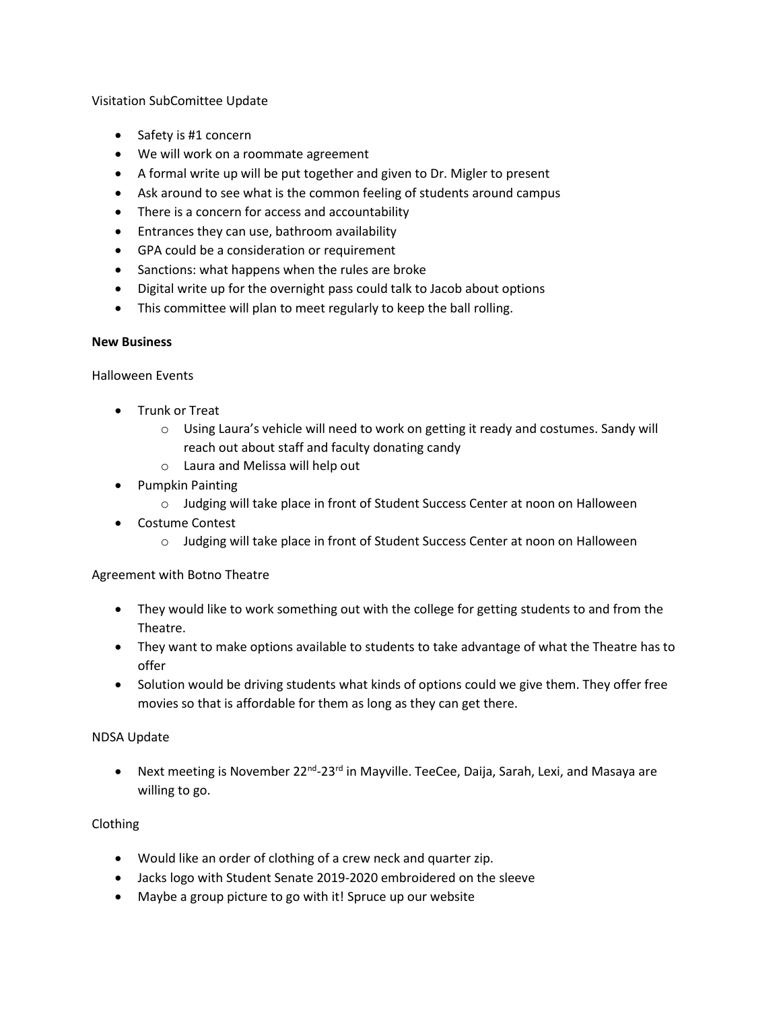## Visitation SubComittee Update

- Safety is #1 concern
- We will work on a roommate agreement
- A formal write up will be put together and given to Dr. Migler to present
- Ask around to see what is the common feeling of students around campus
- There is a concern for access and accountability
- **•** Entrances they can use, bathroom availability
- GPA could be a consideration or requirement
- Sanctions: what happens when the rules are broke
- Digital write up for the overnight pass could talk to Jacob about options
- This committee will plan to meet regularly to keep the ball rolling.

## **New Business**

Halloween Events

- Trunk or Treat
	- $\circ$  Using Laura's vehicle will need to work on getting it ready and costumes. Sandy will reach out about staff and faculty donating candy
	- o Laura and Melissa will help out
- Pumpkin Painting
	- o Judging will take place in front of Student Success Center at noon on Halloween
- Costume Contest
	- o Judging will take place in front of Student Success Center at noon on Halloween

# Agreement with Botno Theatre

- They would like to work something out with the college for getting students to and from the Theatre.
- They want to make options available to students to take advantage of what the Theatre has to offer
- Solution would be driving students what kinds of options could we give them. They offer free movies so that is affordable for them as long as they can get there.

## NDSA Update

• Next meeting is November 22<sup>nd</sup>-23<sup>rd</sup> in Mayville. TeeCee, Daija, Sarah, Lexi, and Masaya are willing to go.

# Clothing

- Would like an order of clothing of a crew neck and quarter zip.
- Jacks logo with Student Senate 2019-2020 embroidered on the sleeve
- Maybe a group picture to go with it! Spruce up our website